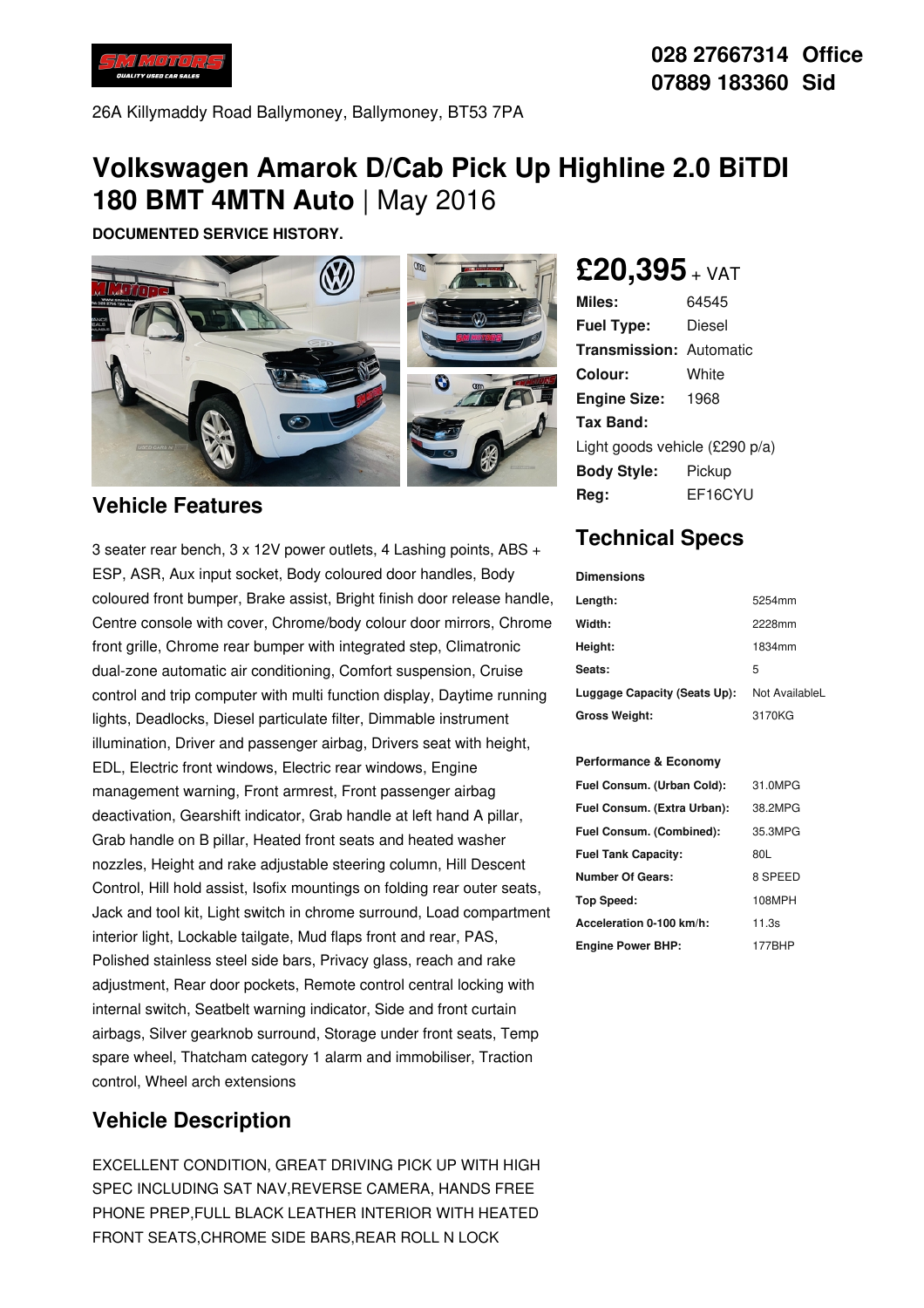

26A Killymaddy Road Ballymoney, Ballymoney, BT53 7PA

# **Volkswagen Amarok D/Cab Pick Up Highline 2.0 BiTDI 180 BMT 4MTN Auto** | May 2016

**DOCUMENTED SERVICE HISTORY.**



### **Vehicle Features**

3 seater rear bench, 3 x 12V power outlets, 4 Lashing points, ABS + ESP, ASR, Aux input socket, Body coloured door handles, Body coloured front bumper, Brake assist, Bright finish door release handle, Centre console with cover, Chrome/body colour door mirrors, Chrome front grille, Chrome rear bumper with integrated step, Climatronic dual-zone automatic air conditioning, Comfort suspension, Cruise control and trip computer with multi function display, Daytime running lights, Deadlocks, Diesel particulate filter, Dimmable instrument illumination, Driver and passenger airbag, Drivers seat with height, EDL, Electric front windows, Electric rear windows, Engine management warning, Front armrest, Front passenger airbag deactivation, Gearshift indicator, Grab handle at left hand A pillar, Grab handle on B pillar, Heated front seats and heated washer nozzles, Height and rake adjustable steering column, Hill Descent Control, Hill hold assist, Isofix mountings on folding rear outer seats, Jack and tool kit, Light switch in chrome surround, Load compartment interior light, Lockable tailgate, Mud flaps front and rear, PAS, Polished stainless steel side bars, Privacy glass, reach and rake adjustment, Rear door pockets, Remote control central locking with internal switch, Seatbelt warning indicator, Side and front curtain airbags, Silver gearknob surround, Storage under front seats, Temp spare wheel, Thatcham category 1 alarm and immobiliser, Traction control, Wheel arch extensions

### **Vehicle Description**

EXCELLENT CONDITION, GREAT DRIVING PICK UP WITH HIGH SPEC INCLUDING SAT NAV,REVERSE CAMERA, HANDS FREE PHONE PREP,FULL BLACK LEATHER INTERIOR WITH HEATED FRONT SEATS,CHROME SIDE BARS,REAR ROLL N LOCK

## **£20,395** <sup>+</sup> VAT

| Miles:                         | 64545   |
|--------------------------------|---------|
| <b>Fuel Type:</b>              | Diesel  |
| <b>Transmission: Automatic</b> |         |
| Colour:                        | White   |
| <b>Engine Size:</b>            | 1968    |
| Tax Band:                      |         |
| Light goods vehicle (£290 p/a) |         |
| <b>Body Style:</b>             | Pickup  |
| Rea:                           | EF16CYU |
|                                |         |

## **Technical Specs**

#### **Dimensions**

| Length:                      | 5254mm         |
|------------------------------|----------------|
| Width:                       | 2228mm         |
| Height:                      | 1834mm         |
| Seats:                       | 5              |
| Luggage Capacity (Seats Up): | Not AvailableL |
| <b>Gross Weight:</b>         | 3170KG         |

#### **Performance & Economy**

| Fuel Consum. (Urban Cold):  | 31.0MPG |
|-----------------------------|---------|
| Fuel Consum. (Extra Urban): | 38.2MPG |
| Fuel Consum. (Combined):    | 35.3MPG |
| <b>Fuel Tank Capacity:</b>  | 80L     |
| <b>Number Of Gears:</b>     | 8 SPEED |
| Top Speed:                  | 108MPH  |
| Acceleration 0-100 km/h:    | 11.3s   |
| <b>Engine Power BHP:</b>    | 177BHP  |